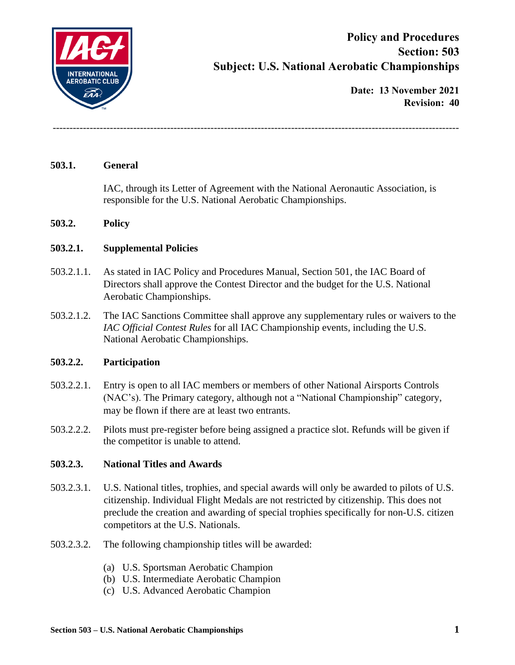

**Date: 13 November 2021 Revision: 40**

#### **503.1. General**

IAC, through its Letter of Agreement with the National Aeronautic Association, is responsible for the U.S. National Aerobatic Championships.

-------------------------------------------------------------------------------------------------------------------------

#### **503.2. Policy**

#### **503.2.1. Supplemental Policies**

- 503.2.1.1. As stated in IAC Policy and Procedures Manual, Section 501, the IAC Board of Directors shall approve the Contest Director and the budget for the U.S. National Aerobatic Championships.
- 503.2.1.2. The IAC Sanctions Committee shall approve any supplementary rules or waivers to the *IAC Official Contest Rules* for all IAC Championship events, including the U.S. National Aerobatic Championships.

#### **503.2.2. Participation**

- 503.2.2.1. Entry is open to all IAC members or members of other National Airsports Controls (NAC's). The Primary category, although not a "National Championship" category, may be flown if there are at least two entrants.
- 503.2.2.2. Pilots must pre-register before being assigned a practice slot. Refunds will be given if the competitor is unable to attend.

#### **503.2.3. National Titles and Awards**

- 503.2.3.1. U.S. National titles, trophies, and special awards will only be awarded to pilots of U.S. citizenship. Individual Flight Medals are not restricted by citizenship. This does not preclude the creation and awarding of special trophies specifically for non-U.S. citizen competitors at the U.S. Nationals.
- 503.2.3.2. The following championship titles will be awarded:
	- (a) U.S. Sportsman Aerobatic Champion
	- (b) U.S. Intermediate Aerobatic Champion
	- (c) U.S. Advanced Aerobatic Champion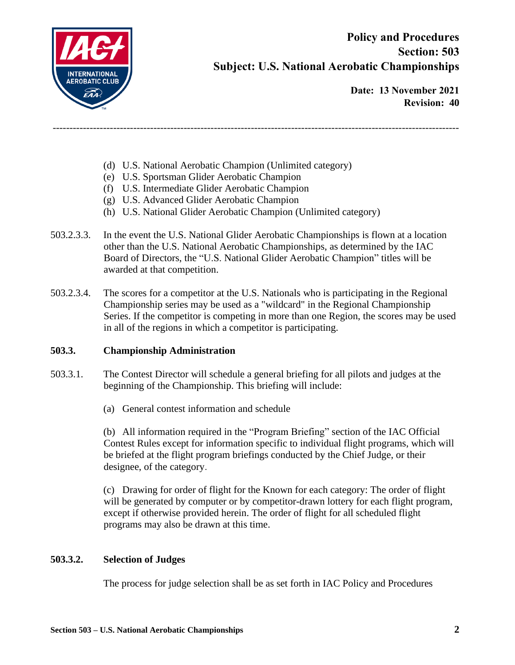

**Date: 13 November 2021 Revision: 40**

- (d) U.S. National Aerobatic Champion (Unlimited category)
- (e) U.S. Sportsman Glider Aerobatic Champion
- (f) U.S. Intermediate Glider Aerobatic Champion
- (g) U.S. Advanced Glider Aerobatic Champion
- (h) U.S. National Glider Aerobatic Champion (Unlimited category)

-------------------------------------------------------------------------------------------------------------------------

- 503.2.3.3. In the event the U.S. National Glider Aerobatic Championships is flown at a location other than the U.S. National Aerobatic Championships, as determined by the IAC Board of Directors, the "U.S. National Glider Aerobatic Champion" titles will be awarded at that competition.
- 503.2.3.4. The scores for a competitor at the U.S. Nationals who is participating in the Regional Championship series may be used as a "wildcard" in the Regional Championship Series. If the competitor is competing in more than one Region, the scores may be used in all of the regions in which a competitor is participating.

#### **503.3. Championship Administration**

- 503.3.1. The Contest Director will schedule a general briefing for all pilots and judges at the beginning of the Championship. This briefing will include:
	- (a) General contest information and schedule

(b) All information required in the "Program Briefing" section of the IAC Official Contest Rules except for information specific to individual flight programs, which will be briefed at the flight program briefings conducted by the Chief Judge, or their designee, of the category.

(c) Drawing for order of flight for the Known for each category: The order of flight will be generated by computer or by competitor-drawn lottery for each flight program, except if otherwise provided herein. The order of flight for all scheduled flight programs may also be drawn at this time.

#### **503.3.2. Selection of Judges**

The process for judge selection shall be as set forth in IAC Policy and Procedures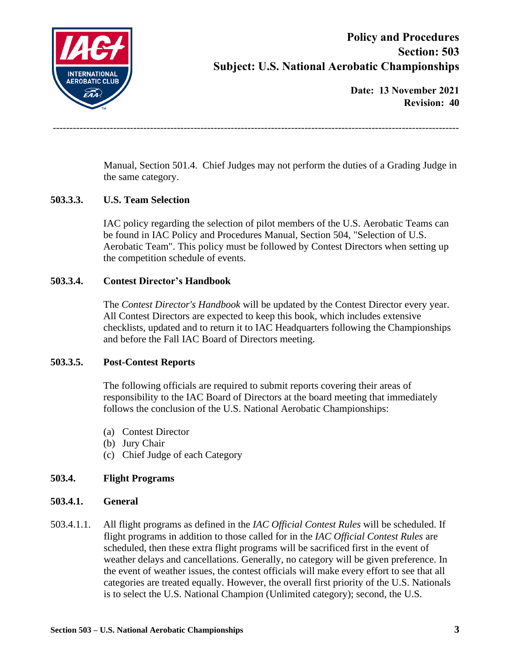

**Date: 13 November 2021 Revision: 40**

Manual, Section 501.4. Chief Judges may not perform the duties of a Grading Judge in the same category.

-------------------------------------------------------------------------------------------------------------------------

### **503.3.3. U.S. Team Selection**

IAC policy regarding the selection of pilot members of the U.S. Aerobatic Teams can be found in IAC Policy and Procedures Manual, Section 504, "Selection of U.S. Aerobatic Team". This policy must be followed by Contest Directors when setting up the competition schedule of events.

### **503.3.4. Contest Director's Handbook**

The *Contest Director's Handbook* will be updated by the Contest Director every year. All Contest Directors are expected to keep this book, which includes extensive checklists, updated and to return it to IAC Headquarters following the Championships and before the Fall IAC Board of Directors meeting.

### **503.3.5. Post-Contest Reports**

The following officials are required to submit reports covering their areas of responsibility to the IAC Board of Directors at the board meeting that immediately follows the conclusion of the U.S. National Aerobatic Championships:

- (a) Contest Director
- (b) Jury Chair
- (c) Chief Judge of each Category

### **503.4. Flight Programs**

### **503.4.1. General**

503.4.1.1. All flight programs as defined in the *IAC Official Contest Rules* will be scheduled. If flight programs in addition to those called for in the *IAC Official Contest Rules* are scheduled, then these extra flight programs will be sacrificed first in the event of weather delays and cancellations. Generally, no category will be given preference. In the event of weather issues, the contest officials will make every effort to see that all categories are treated equally. However, the overall first priority of the U.S. Nationals is to select the U.S. National Champion (Unlimited category); second, the U.S.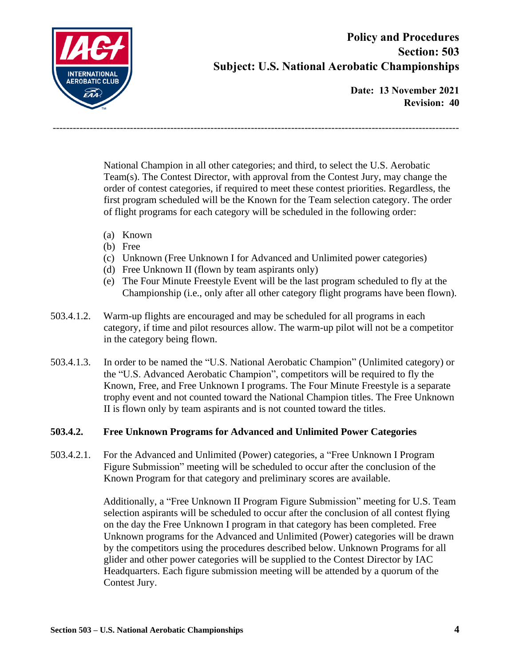

**Date: 13 November 2021 Revision: 40**

National Champion in all other categories; and third, to select the U.S. Aerobatic Team(s). The Contest Director, with approval from the Contest Jury, may change the order of contest categories, if required to meet these contest priorities. Regardless, the first program scheduled will be the Known for the Team selection category. The order of flight programs for each category will be scheduled in the following order:

-------------------------------------------------------------------------------------------------------------------------

- (a) Known
- (b) Free
- (c) Unknown (Free Unknown I for Advanced and Unlimited power categories)
- (d) Free Unknown II (flown by team aspirants only)
- (e) The Four Minute Freestyle Event will be the last program scheduled to fly at the Championship (i.e., only after all other category flight programs have been flown).
- 503.4.1.2. Warm-up flights are encouraged and may be scheduled for all programs in each category, if time and pilot resources allow. The warm-up pilot will not be a competitor in the category being flown.
- 503.4.1.3. In order to be named the "U.S. National Aerobatic Champion" (Unlimited category) or the "U.S. Advanced Aerobatic Champion", competitors will be required to fly the Known, Free, and Free Unknown I programs. The Four Minute Freestyle is a separate trophy event and not counted toward the National Champion titles. The Free Unknown II is flown only by team aspirants and is not counted toward the titles.

### **503.4.2. Free Unknown Programs for Advanced and Unlimited Power Categories**

503.4.2.1. For the Advanced and Unlimited (Power) categories, a "Free Unknown I Program Figure Submission" meeting will be scheduled to occur after the conclusion of the Known Program for that category and preliminary scores are available.

> Additionally, a "Free Unknown II Program Figure Submission" meeting for U.S. Team selection aspirants will be scheduled to occur after the conclusion of all contest flying on the day the Free Unknown I program in that category has been completed. Free Unknown programs for the Advanced and Unlimited (Power) categories will be drawn by the competitors using the procedures described below. Unknown Programs for all glider and other power categories will be supplied to the Contest Director by IAC Headquarters. Each figure submission meeting will be attended by a quorum of the Contest Jury.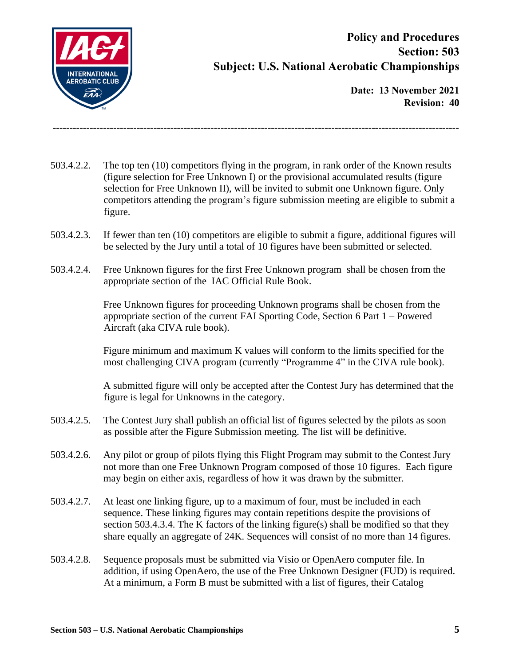

**Date: 13 November 2021 Revision: 40**

503.4.2.2. The top ten (10) competitors flying in the program, in rank order of the Known results (figure selection for Free Unknown I) or the provisional accumulated results (figure selection for Free Unknown II), will be invited to submit one Unknown figure. Only competitors attending the program's figure submission meeting are eligible to submit a figure.

-------------------------------------------------------------------------------------------------------------------------

- 503.4.2.3. If fewer than ten (10) competitors are eligible to submit a figure, additional figures will be selected by the Jury until a total of 10 figures have been submitted or selected.
- 503.4.2.4. Free Unknown figures for the first Free Unknown program shall be chosen from the appropriate section of the IAC Official Rule Book.

Free Unknown figures for proceeding Unknown programs shall be chosen from the appropriate section of the current FAI Sporting Code, Section 6 Part 1 – Powered Aircraft (aka CIVA rule book).

Figure minimum and maximum K values will conform to the limits specified for the most challenging CIVA program (currently "Programme 4" in the CIVA rule book).

A submitted figure will only be accepted after the Contest Jury has determined that the figure is legal for Unknowns in the category.

- 503.4.2.5. The Contest Jury shall publish an official list of figures selected by the pilots as soon as possible after the Figure Submission meeting. The list will be definitive.
- 503.4.2.6. Any pilot or group of pilots flying this Flight Program may submit to the Contest Jury not more than one Free Unknown Program composed of those 10 figures. Each figure may begin on either axis, regardless of how it was drawn by the submitter.
- 503.4.2.7. At least one linking figure, up to a maximum of four, must be included in each sequence. These linking figures may contain repetitions despite the provisions of section 503.4.3.4. The K factors of the linking figure(s) shall be modified so that they share equally an aggregate of 24K. Sequences will consist of no more than 14 figures.
- 503.4.2.8. Sequence proposals must be submitted via Visio or OpenAero computer file. In addition, if using OpenAero, the use of the Free Unknown Designer (FUD) is required. At a minimum, a Form B must be submitted with a list of figures, their Catalog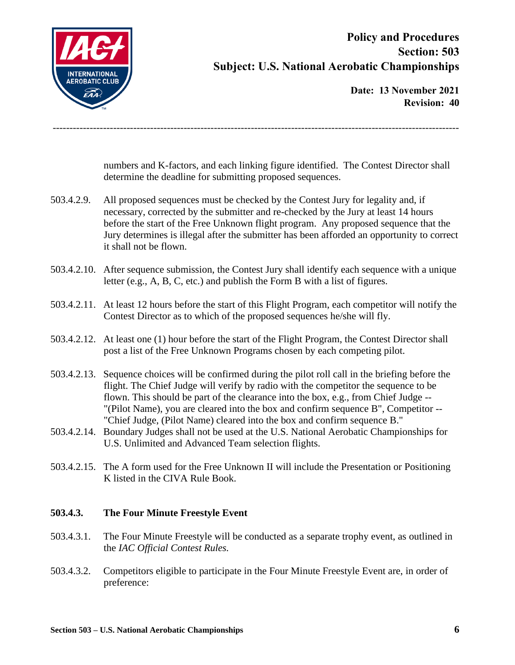

**Date: 13 November 2021 Revision: 40**

numbers and K-factors, and each linking figure identified. The Contest Director shall determine the deadline for submitting proposed sequences.

503.4.2.9. All proposed sequences must be checked by the Contest Jury for legality and, if necessary, corrected by the submitter and re-checked by the Jury at least 14 hours before the start of the Free Unknown flight program. Any proposed sequence that the Jury determines is illegal after the submitter has been afforded an opportunity to correct it shall not be flown.

-------------------------------------------------------------------------------------------------------------------------

- 503.4.2.10. After sequence submission, the Contest Jury shall identify each sequence with a unique letter (e.g., A, B, C, etc.) and publish the Form B with a list of figures.
- 503.4.2.11. At least 12 hours before the start of this Flight Program, each competitor will notify the Contest Director as to which of the proposed sequences he/she will fly.
- 503.4.2.12. At least one (1) hour before the start of the Flight Program, the Contest Director shall post a list of the Free Unknown Programs chosen by each competing pilot.
- 503.4.2.13. Sequence choices will be confirmed during the pilot roll call in the briefing before the flight. The Chief Judge will verify by radio with the competitor the sequence to be flown. This should be part of the clearance into the box, e.g., from Chief Judge -- "(Pilot Name), you are cleared into the box and confirm sequence B", Competitor -- "Chief Judge, (Pilot Name) cleared into the box and confirm sequence B."
- 503.4.2.14. Boundary Judges shall not be used at the U.S. National Aerobatic Championships for U.S. Unlimited and Advanced Team selection flights.
- 503.4.2.15. The A form used for the Free Unknown II will include the Presentation or Positioning K listed in the CIVA Rule Book.

### **503.4.3. The Four Minute Freestyle Event**

- 503.4.3.1. The Four Minute Freestyle will be conducted as a separate trophy event, as outlined in the *IAC Official Contest Rules.*
- 503.4.3.2. Competitors eligible to participate in the Four Minute Freestyle Event are, in order of preference: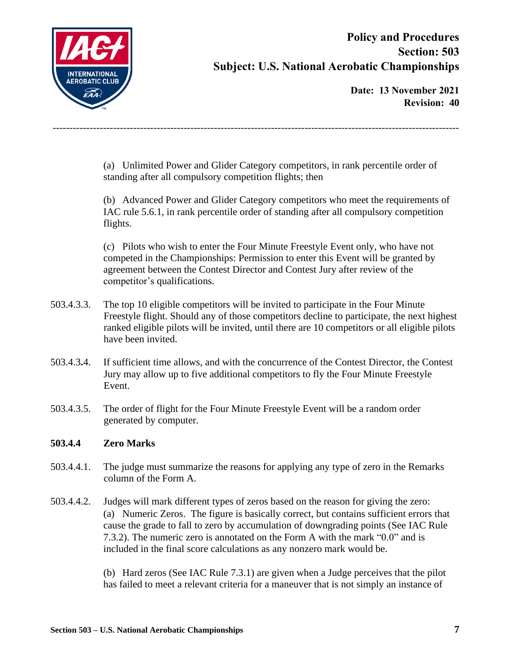

**Date: 13 November 2021 Revision: 40**

(a) Unlimited Power and Glider Category competitors, in rank percentile order of standing after all compulsory competition flights; then

-------------------------------------------------------------------------------------------------------------------------

(b) Advanced Power and Glider Category competitors who meet the requirements of IAC rule 5.6.1, in rank percentile order of standing after all compulsory competition flights.

(c) Pilots who wish to enter the Four Minute Freestyle Event only, who have not competed in the Championships: Permission to enter this Event will be granted by agreement between the Contest Director and Contest Jury after review of the competitor's qualifications.

- 503.4.3.3. The top 10 eligible competitors will be invited to participate in the Four Minute Freestyle flight. Should any of those competitors decline to participate, the next highest ranked eligible pilots will be invited, until there are 10 competitors or all eligible pilots have been invited.
- 503.4.3**.**4. If sufficient time allows, and with the concurrence of the Contest Director, the Contest Jury may allow up to five additional competitors to fly the Four Minute Freestyle Event.
- 503.4.3.5. The order of flight for the Four Minute Freestyle Event will be a random order generated by computer.

### **503.4.4 Zero Marks**

- 503.4.4.1. The judge must summarize the reasons for applying any type of zero in the Remarks column of the Form A.
- 503.4.4.2. Judges will mark different types of zeros based on the reason for giving the zero: (a) Numeric Zeros. The figure is basically correct, but contains sufficient errors that cause the grade to fall to zero by accumulation of downgrading points (See IAC Rule 7.3.2). The numeric zero is annotated on the Form A with the mark "0.0" and is included in the final score calculations as any nonzero mark would be.

(b) Hard zeros (See IAC Rule 7.3.1) are given when a Judge perceives that the pilot has failed to meet a relevant criteria for a maneuver that is not simply an instance of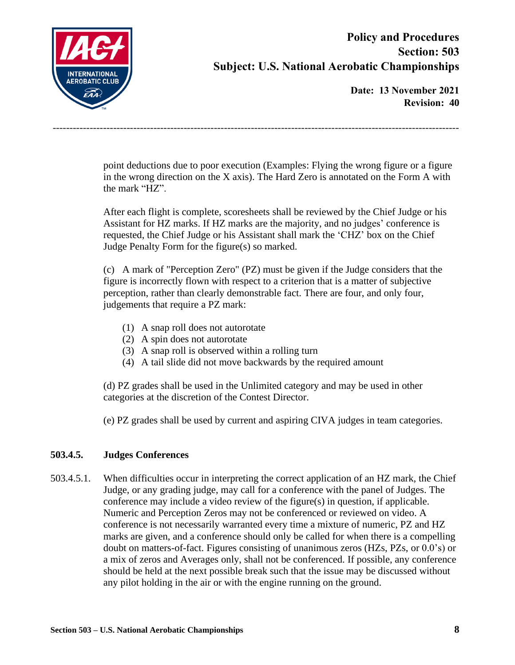

**Date: 13 November 2021 Revision: 40**

point deductions due to poor execution (Examples: Flying the wrong figure or a figure in the wrong direction on the X axis). The Hard Zero is annotated on the Form A with the mark "HZ".

-------------------------------------------------------------------------------------------------------------------------

After each flight is complete, scoresheets shall be reviewed by the Chief Judge or his Assistant for HZ marks. If HZ marks are the majority, and no judges' conference is requested, the Chief Judge or his Assistant shall mark the 'CHZ' box on the Chief Judge Penalty Form for the figure(s) so marked.

(c) A mark of "Perception Zero" (PZ) must be given if the Judge considers that the figure is incorrectly flown with respect to a criterion that is a matter of subjective perception, rather than clearly demonstrable fact. There are four, and only four, judgements that require a PZ mark:

- (1) A snap roll does not autorotate
- (2) A spin does not autorotate
- (3) A snap roll is observed within a rolling turn
- (4) A tail slide did not move backwards by the required amount

(d) PZ grades shall be used in the Unlimited category and may be used in other categories at the discretion of the Contest Director.

(e) PZ grades shall be used by current and aspiring CIVA judges in team categories.

### **503.4.5. Judges Conferences**

503.4.5.1. When difficulties occur in interpreting the correct application of an HZ mark, the Chief Judge, or any grading judge, may call for a conference with the panel of Judges. The conference may include a video review of the figure(s) in question, if applicable. Numeric and Perception Zeros may not be conferenced or reviewed on video. A conference is not necessarily warranted every time a mixture of numeric, PZ and HZ marks are given, and a conference should only be called for when there is a compelling doubt on matters-of-fact. Figures consisting of unanimous zeros (HZs, PZs, or 0.0's) or a mix of zeros and Averages only, shall not be conferenced. If possible, any conference should be held at the next possible break such that the issue may be discussed without any pilot holding in the air or with the engine running on the ground.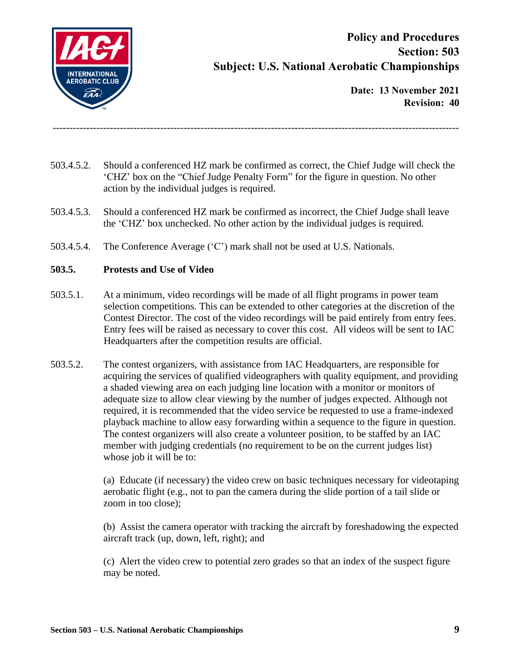

**Date: 13 November 2021 Revision: 40**

503.4.5.2. Should a conferenced HZ mark be confirmed as correct, the Chief Judge will check the 'CHZ' box on the "Chief Judge Penalty Form" for the figure in question. No other action by the individual judges is required.

-------------------------------------------------------------------------------------------------------------------------

- 503.4.5.3. Should a conferenced HZ mark be confirmed as incorrect, the Chief Judge shall leave the 'CHZ' box unchecked. No other action by the individual judges is required.
- 503.4.5.4. The Conference Average ('C') mark shall not be used at U.S. Nationals.

### **503.5. Protests and Use of Video**

- 503.5.1. At a minimum, video recordings will be made of all flight programs in power team selection competitions. This can be extended to other categories at the discretion of the Contest Director. The cost of the video recordings will be paid entirely from entry fees. Entry fees will be raised as necessary to cover this cost. All videos will be sent to IAC Headquarters after the competition results are official.
- 503.5.2. The contest organizers, with assistance from IAC Headquarters, are responsible for acquiring the services of qualified videographers with quality equipment, and providing a shaded viewing area on each judging line location with a monitor or monitors of adequate size to allow clear viewing by the number of judges expected. Although not required, it is recommended that the video service be requested to use a frame-indexed playback machine to allow easy forwarding within a sequence to the figure in question. The contest organizers will also create a volunteer position, to be staffed by an IAC member with judging credentials (no requirement to be on the current judges list) whose job it will be to:

(a) Educate (if necessary) the video crew on basic techniques necessary for videotaping aerobatic flight (e.g., not to pan the camera during the slide portion of a tail slide or zoom in too close);

(b) Assist the camera operator with tracking the aircraft by foreshadowing the expected aircraft track (up, down, left, right); and

(c) Alert the video crew to potential zero grades so that an index of the suspect figure may be noted.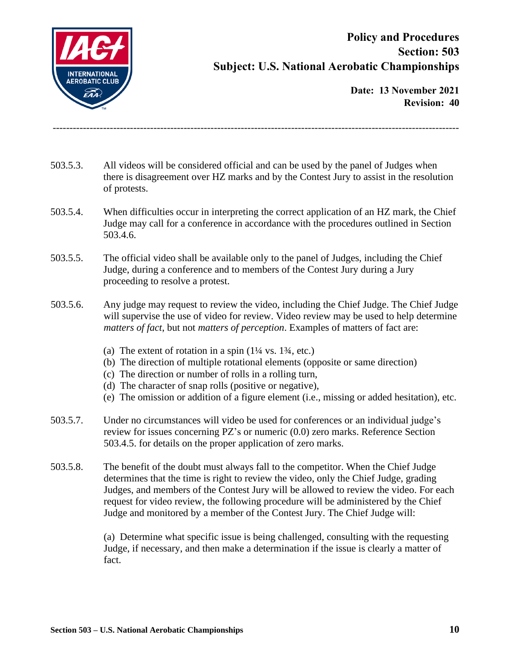

**Date: 13 November 2021 Revision: 40**

503.5.3. All videos will be considered official and can be used by the panel of Judges when there is disagreement over HZ marks and by the Contest Jury to assist in the resolution of protests.

-------------------------------------------------------------------------------------------------------------------------

- 503.5.4. When difficulties occur in interpreting the correct application of an HZ mark, the Chief Judge may call for a conference in accordance with the procedures outlined in Section 503.4.6.
- 503.5.5. The official video shall be available only to the panel of Judges, including the Chief Judge, during a conference and to members of the Contest Jury during a Jury proceeding to resolve a protest.
- 503.5.6. Any judge may request to review the video, including the Chief Judge. The Chief Judge will supervise the use of video for review. Video review may be used to help determine *matters of fact*, but not *matters of perception*. Examples of matters of fact are:
	- (a) The extent of rotation in a spin  $(1\frac{1}{4} \text{ vs. } 1\frac{3}{4}, \text{ etc.})$
	- (b) The direction of multiple rotational elements (opposite or same direction)
	- (c) The direction or number of rolls in a rolling turn,
	- (d) The character of snap rolls (positive or negative),
	- (e) The omission or addition of a figure element (i.e., missing or added hesitation), etc.
- 503.5.7. Under no circumstances will video be used for conferences or an individual judge's review for issues concerning PZ's or numeric (0.0) zero marks. Reference Section 503.4.5. for details on the proper application of zero marks.
- 503.5.8. The benefit of the doubt must always fall to the competitor. When the Chief Judge determines that the time is right to review the video, only the Chief Judge, grading Judges, and members of the Contest Jury will be allowed to review the video. For each request for video review, the following procedure will be administered by the Chief Judge and monitored by a member of the Contest Jury. The Chief Judge will:

(a) Determine what specific issue is being challenged, consulting with the requesting Judge, if necessary, and then make a determination if the issue is clearly a matter of fact.